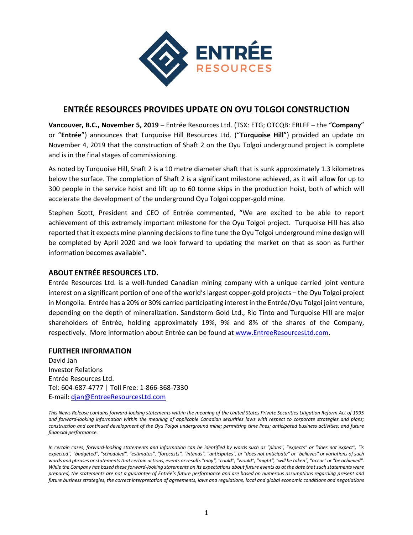

## **ENTRÉE RESOURCES PROVIDES UPDATE ON OYU TOLGOI CONSTRUCTION**

**Vancouver, B.C., November 5, 2019** – Entrée Resources Ltd. (TSX: ETG; OTCQB: ERLFF – the "**Company**" or "**Entrée**") announces that Turquoise Hill Resources Ltd. ("**Turquoise Hill**") provided an update on November 4, 2019 that the construction of Shaft 2 on the Oyu Tolgoi underground project is complete and is in the final stages of commissioning.

As noted by Turquoise Hill, Shaft 2 is a 10 metre diameter shaft that is sunk approximately 1.3 kilometres below the surface. The completion of Shaft 2 is a significant milestone achieved, as it will allow for up to 300 people in the service hoist and lift up to 60 tonne skips in the production hoist, both of which will accelerate the development of the underground Oyu Tolgoi copper-gold mine.

Stephen Scott, President and CEO of Entrée commented, "We are excited to be able to report achievement of this extremely important milestone for the Oyu Tolgoi project. Turquoise Hill has also reported that it expects mine planning decisions to fine tune the Oyu Tolgoi underground mine design will be completed by April 2020 and we look forward to updating the market on that as soon as further information becomes available".

## **ABOUT ENTRÉE RESOURCES LTD.**

Entrée Resources Ltd. is a well-funded Canadian mining company with a unique carried joint venture interest on a significant portion of one of the world's largest copper-gold projects – the Oyu Tolgoi project in Mongolia. Entrée has a 20% or 30% carried participating interest in the Entrée/Oyu Tolgoi joint venture, depending on the depth of mineralization. Sandstorm Gold Ltd., Rio Tinto and Turquoise Hill are major shareholders of Entrée, holding approximately 19%, 9% and 8% of the shares of the Company, respectively. More information about Entrée can be found at [www.EntreeResourcesLtd.com.](http://www.entreeresourcesltd.com/)

## **FURTHER INFORMATION**

David Jan Investor Relations Entrée Resources Ltd. Tel: 604-687-4777 | Toll Free: 1-866-368-7330 E-mail: [djan@EntreeResourcesLtd.com](mailto:djan@EntreeResourcesLtd.com)

*This News Release contains forward-looking statements within the meaning of the United States Private Securities Litigation Reform Act of 1995 and forward-looking information within the meaning of applicable Canadian securities laws with respect to corporate strategies and plans; construction and continued development of the Oyu Tolgoi underground mine; permitting time lines; anticipated business activities; and future financial performance.*

*In certain cases, forward-looking statements and information can be identified by words such as "plans", "expects" or "does not expect", "is expected", "budgeted", "scheduled", "estimates", "forecasts", "intends", "anticipates", or "does not anticipate" or "believes" or variations of such words and phrases or statements that certain actions, events or results "may", "could", "would", "might", "will be taken", "occur" or "be achieved". While the Company has based these forward-looking statements on its expectations about future events as at the date that such statements were prepared, the statements are not a guarantee of Entrée's future performance and are based on numerous assumptions regarding present and future business strategies, the correct interpretation of agreements, laws and regulations, local and global economic conditions and negotiations*